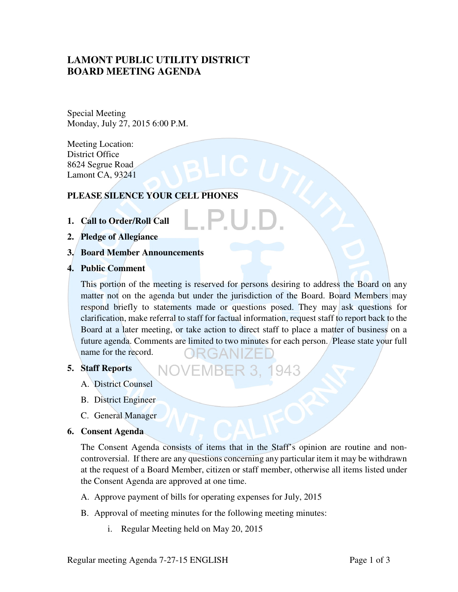# **LAMONT PUBLIC UTILITY DISTRICT BOARD MEETING AGENDA**

Special Meeting Monday, July 27, 2015 6:00 P.M.

Meeting Location: District Office 8624 Segrue Road Lamont CA, 93241

## **PLEASE SILENCE YOUR CELL PHONES**

- **1. Call to Order/Roll Call**
- **2. Pledge of Allegiance**
- **3. Board Member Announcements**
- **4. Public Comment**

This portion of the meeting is reserved for persons desiring to address the Board on any matter not on the agenda but under the jurisdiction of the Board. Board Members may respond briefly to statements made or questions posed. They may ask questions for clarification, make referral to staff for factual information, request staff to report back to the Board at a later meeting, or take action to direct staff to place a matter of business on a future agenda. Comments are limited to two minutes for each person. Please state your full name for the record. RGANIZE

1943

#### **5. Staff Reports**

- A. District Counsel
- B. District Engineer
- C. General Manager

#### **6. Consent Agenda**

The Consent Agenda consists of items that in the Staff's opinion are routine and noncontroversial. If there are any questions concerning any particular item it may be withdrawn at the request of a Board Member, citizen or staff member, otherwise all items listed under the Consent Agenda are approved at one time.

- A. Approve payment of bills for operating expenses for July, 2015
- B. Approval of meeting minutes for the following meeting minutes:
	- i. Regular Meeting held on May 20, 2015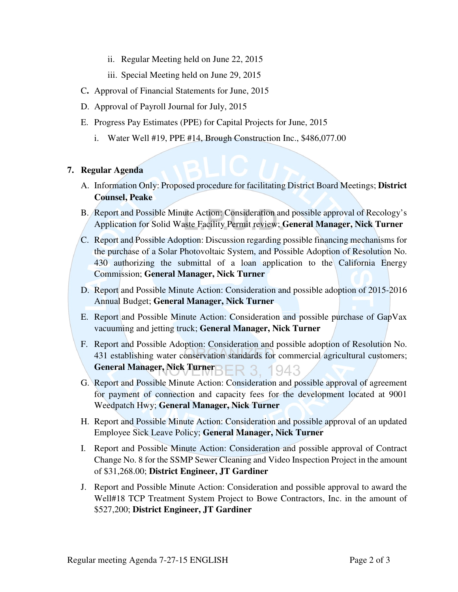ii. Regular Meeting held on June 22, 2015

iii. Special Meeting held on June 29, 2015

- C**.** Approval of Financial Statements for June, 2015
- D. Approval of Payroll Journal for July, 2015
- E. Progress Pay Estimates (PPE) for Capital Projects for June, 2015
	- i. Water Well #19, PPE #14, Brough Construction Inc., \$486,077.00

## **7. Regular Agenda**

- A. Information Only: Proposed procedure for facilitating District Board Meetings; **District Counsel, Peake**
- B. Report and Possible Minute Action: Consideration and possible approval of Recology's Application for Solid Waste Facility Permit review; **General Manager, Nick Turner**
- C. Report and Possible Adoption: Discussion regarding possible financing mechanisms for the purchase of a Solar Photovoltaic System, and Possible Adoption of Resolution No. 430 authorizing the submittal of a loan application to the California Energy Commission; **General Manager, Nick Turner**
- D. Report and Possible Minute Action: Consideration and possible adoption of 2015-2016 Annual Budget; **General Manager, Nick Turner**
- E. Report and Possible Minute Action: Consideration and possible purchase of GapVax vacuuming and jetting truck; **General Manager, Nick Turner**
- F. Report and Possible Adoption: Consideration and possible adoption of Resolution No. 431 establishing water conservation standards for commercial agricultural customers; General Manager, Nick Turner**BER 3. 1943**
- G. Report and Possible Minute Action: Consideration and possible approval of agreement for payment of connection and capacity fees for the development located at 9001 Weedpatch Hwy; **General Manager, Nick Turner**
- H. Report and Possible Minute Action: Consideration and possible approval of an updated Employee Sick Leave Policy; **General Manager, Nick Turner**
- I. Report and Possible Minute Action: Consideration and possible approval of Contract Change No. 8 for the SSMP Sewer Cleaning and Video Inspection Project in the amount of \$31,268.00; **District Engineer, JT Gardiner**
- J. Report and Possible Minute Action: Consideration and possible approval to award the Well#18 TCP Treatment System Project to Bowe Contractors, Inc. in the amount of \$527,200; **District Engineer, JT Gardiner**